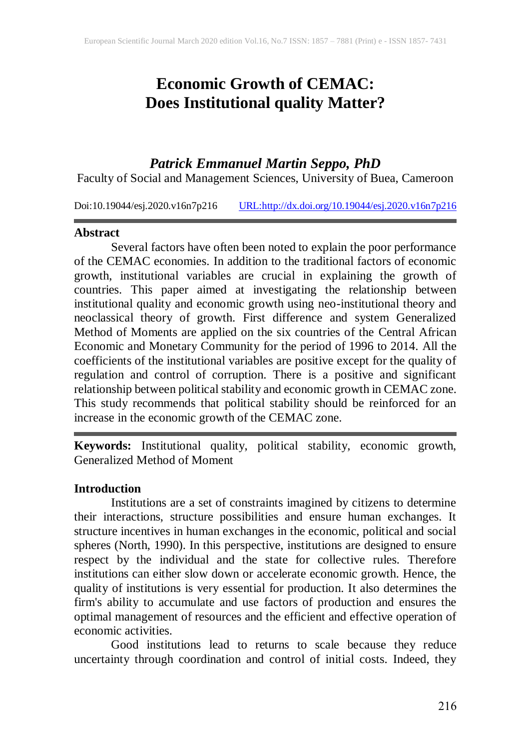# **Economic Growth of CEMAC: Does Institutional quality Matter?**

## *Patrick Emmanuel Martin Seppo, PhD*

Faculty of Social and Management Sciences, University of Buea, Cameroon

Doi:10.19044/esj.2020.v16n7p216 [URL:http://dx.doi.org/10.19044/esj.2020.v16n7p216](http://dx.doi.org/10.19044/esj.2020.v16n7p216)

#### **Abstract**

Several factors have often been noted to explain the poor performance of the CEMAC economies. In addition to the traditional factors of economic growth, institutional variables are crucial in explaining the growth of countries. This paper aimed at investigating the relationship between institutional quality and economic growth using neo-institutional theory and neoclassical theory of growth. First difference and system Generalized Method of Moments are applied on the six countries of the Central African Economic and Monetary Community for the period of 1996 to 2014. All the coefficients of the institutional variables are positive except for the quality of regulation and control of corruption. There is a positive and significant relationship between political stability and economic growth in CEMAC zone. This study recommends that political stability should be reinforced for an increase in the economic growth of the CEMAC zone.

**Keywords:** Institutional quality, political stability, economic growth, Generalized Method of Moment

#### **Introduction**

Institutions are a set of constraints imagined by citizens to determine their interactions, structure possibilities and ensure human exchanges. It structure incentives in human exchanges in the economic, political and social spheres (North, 1990). In this perspective, institutions are designed to ensure respect by the individual and the state for collective rules. Therefore institutions can either slow down or accelerate economic growth. Hence, the quality of institutions is very essential for production. It also determines the firm's ability to accumulate and use factors of production and ensures the optimal management of resources and the efficient and effective operation of economic activities.

Good institutions lead to returns to scale because they reduce uncertainty through coordination and control of initial costs. Indeed, they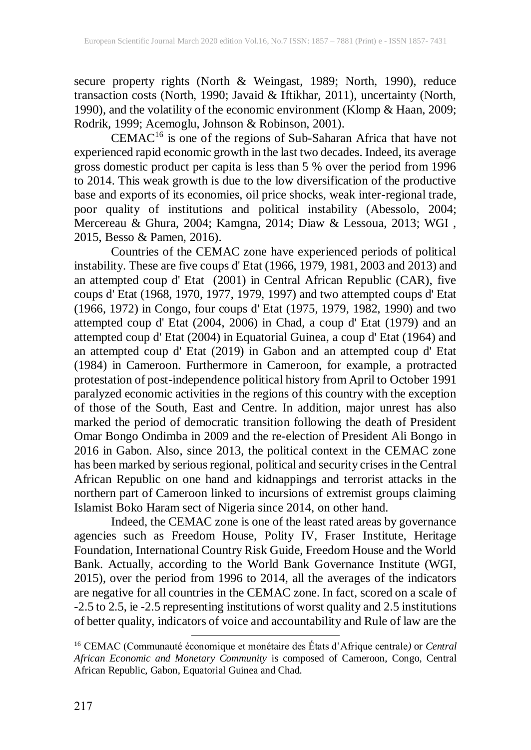secure property rights (North & Weingast, 1989; North, 1990), reduce transaction costs (North, 1990; Javaid & Iftikhar, 2011), uncertainty (North, 1990), and the volatility of the economic environment (Klomp & Haan, 2009; Rodrik, 1999; Acemoglu, Johnson & Robinson, 2001).

 $CEMAC<sup>16</sup>$  is one of the regions of Sub-Saharan Africa that have not experienced rapid economic growth in the last two decades. Indeed, its average gross domestic product per capita is less than 5 % over the period from 1996 to 2014. This weak growth is due to the low diversification of the productive base and exports of its economies, oil price shocks, weak inter-regional trade, poor quality of institutions and political instability (Abessolo, 2004; Mercereau & Ghura, 2004; Kamgna, 2014; Diaw & Lessoua, 2013; WGI , 2015, Besso & Pamen, 2016).

Countries of the CEMAC zone have experienced periods of political instability. These are five coups d' Etat (1966, 1979, 1981, 2003 and 2013) and an attempted coup d' Etat (2001) in Central African Republic (CAR), five coups d' Etat (1968, 1970, 1977, 1979, 1997) and two attempted coups d' Etat (1966, 1972) in Congo, four coups d' Etat (1975, 1979, 1982, 1990) and two attempted coup d' Etat (2004, 2006) in Chad, a coup d' Etat (1979) and an attempted coup d' Etat (2004) in Equatorial Guinea, a coup d' Etat (1964) and an attempted coup d' Etat (2019) in Gabon and an attempted coup d' Etat (1984) in Cameroon. Furthermore in Cameroon, for example, a protracted protestation of post-independence political history from April to October 1991 paralyzed economic activities in the regions of this country with the exception of those of the South, East and Centre. In addition, major unrest has also marked the period of democratic transition following the death of President Omar Bongo Ondimba in 2009 and the re-election of President Ali Bongo in 2016 in Gabon. Also, since 2013, the political context in the CEMAC zone has been marked by serious regional, political and security crises in the Central African Republic on one hand and kidnappings and terrorist attacks in the northern part of Cameroon linked to incursions of extremist groups claiming Islamist Boko Haram sect of Nigeria since 2014, on other hand.

Indeed, the CEMAC zone is one of the least rated areas by governance agencies such as Freedom House, Polity IV, Fraser Institute, Heritage Foundation, International Country Risk Guide, Freedom House and the World Bank. Actually, according to the World Bank Governance Institute (WGI, 2015), over the period from 1996 to 2014, all the averages of the indicators are negative for all countries in the CEMAC zone. In fact, scored on a scale of -2.5 to 2.5, ie -2.5 representing institutions of worst quality and 2.5 institutions of better quality, indicators of voice and accountability and Rule of law are the

 $\overline{a}$ 

<sup>16</sup> CEMAC (Communauté économique et monétaire des États d'Afrique centrale*)* or *Central African Economic and Monetary Community* is composed of Cameroon, Congo, Central African Republic, Gabon, Equatorial Guinea and Chad.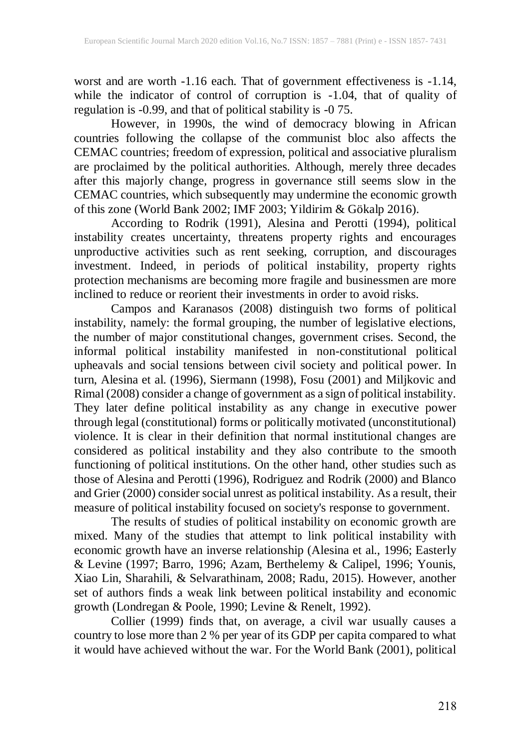worst and are worth -1.16 each. That of government effectiveness is -1.14, while the indicator of control of corruption is -1.04, that of quality of regulation is -0.99, and that of political stability is -0 75.

However, in 1990s, the wind of democracy blowing in African countries following the collapse of the communist bloc also affects the CEMAC countries; freedom of expression, political and associative pluralism are proclaimed by the political authorities. Although, merely three decades after this majorly change, progress in governance still seems slow in the CEMAC countries, which subsequently may undermine the economic growth of this zone (World Bank 2002; IMF 2003; Yildirim & Gökalp 2016).

According to Rodrik (1991), Alesina and Perotti (1994), political instability creates uncertainty, threatens property rights and encourages unproductive activities such as rent seeking, corruption, and discourages investment. Indeed, in periods of political instability, property rights protection mechanisms are becoming more fragile and businessmen are more inclined to reduce or reorient their investments in order to avoid risks.

Campos and Karanasos (2008) distinguish two forms of political instability, namely: the formal grouping, the number of legislative elections, the number of major constitutional changes, government crises. Second, the informal political instability manifested in non-constitutional political upheavals and social tensions between civil society and political power. In turn, Alesina et al. (1996), Siermann (1998), Fosu (2001) and Miljkovic and Rimal (2008) consider a change of government as a sign of political instability. They later define political instability as any change in executive power through legal (constitutional) forms or politically motivated (unconstitutional) violence. It is clear in their definition that normal institutional changes are considered as political instability and they also contribute to the smooth functioning of political institutions. On the other hand, other studies such as those of Alesina and Perotti (1996), Rodriguez and Rodrik (2000) and Blanco and Grier (2000) consider social unrest as political instability. As a result, their measure of political instability focused on society's response to government.

The results of studies of political instability on economic growth are mixed. Many of the studies that attempt to link political instability with economic growth have an inverse relationship (Alesina et al., 1996; Easterly & Levine (1997; Barro, 1996; Azam, Berthelemy & Calipel, 1996; Younis, Xiao Lin, Sharahili, & Selvarathinam, 2008; Radu, 2015). However, another set of authors finds a weak link between political instability and economic growth (Londregan & Poole, 1990; Levine & Renelt, 1992).

Collier (1999) finds that, on average, a civil war usually causes a country to lose more than 2 % per year of its GDP per capita compared to what it would have achieved without the war. For the World Bank (2001), political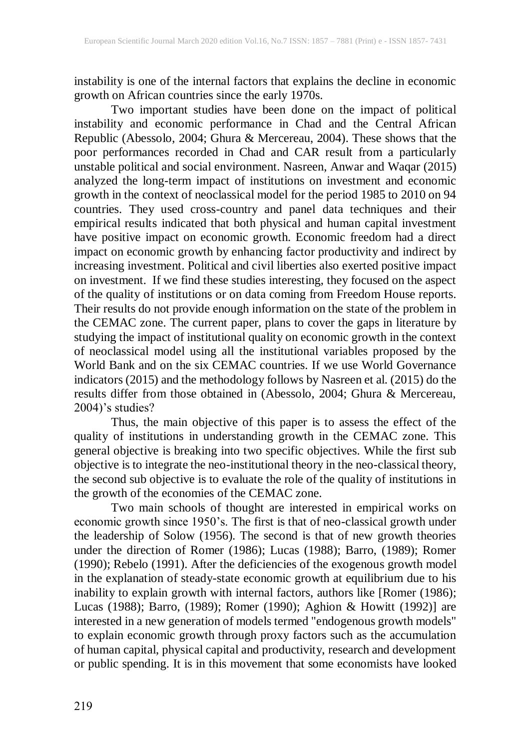instability is one of the internal factors that explains the decline in economic growth on African countries since the early 1970s.

Two important studies have been done on the impact of political instability and economic performance in Chad and the Central African Republic (Abessolo, 2004; Ghura & Mercereau, 2004). These shows that the poor performances recorded in Chad and CAR result from a particularly unstable political and social environment. Nasreen, Anwar and Waqar (2015) analyzed the long-term impact of institutions on investment and economic growth in the context of neoclassical model for the period 1985 to 2010 on 94 countries. They used cross-country and panel data techniques and their empirical results indicated that both physical and human capital investment have positive impact on economic growth. Economic freedom had a direct impact on economic growth by enhancing factor productivity and indirect by increasing investment. Political and civil liberties also exerted positive impact on investment. If we find these studies interesting, they focused on the aspect of the quality of institutions or on data coming from Freedom House reports. Their results do not provide enough information on the state of the problem in the CEMAC zone. The current paper, plans to cover the gaps in literature by studying the impact of institutional quality on economic growth in the context of neoclassical model using all the institutional variables proposed by the World Bank and on the six CEMAC countries. If we use World Governance indicators (2015) and the methodology follows by Nasreen et al. (2015) do the results differ from those obtained in (Abessolo, 2004; Ghura & Mercereau, 2004)'s studies?

Thus, the main objective of this paper is to assess the effect of the quality of institutions in understanding growth in the CEMAC zone. This general objective is breaking into two specific objectives. While the first sub objective is to integrate the neo-institutional theory in the neo-classical theory, the second sub objective is to evaluate the role of the quality of institutions in the growth of the economies of the CEMAC zone.

Two main schools of thought are interested in empirical works on economic growth since 1950's. The first is that of neo-classical growth under the leadership of Solow (1956). The second is that of new growth theories under the direction of Romer (1986); Lucas (1988); Barro, (1989); Romer (1990); Rebelo (1991). After the deficiencies of the exogenous growth model in the explanation of steady-state economic growth at equilibrium due to his inability to explain growth with internal factors, authors like [Romer (1986); Lucas (1988); Barro, (1989); Romer (1990); Aghion & Howitt (1992)] are interested in a new generation of models termed "endogenous growth models" to explain economic growth through proxy factors such as the accumulation of human capital, physical capital and productivity, research and development or public spending. It is in this movement that some economists have looked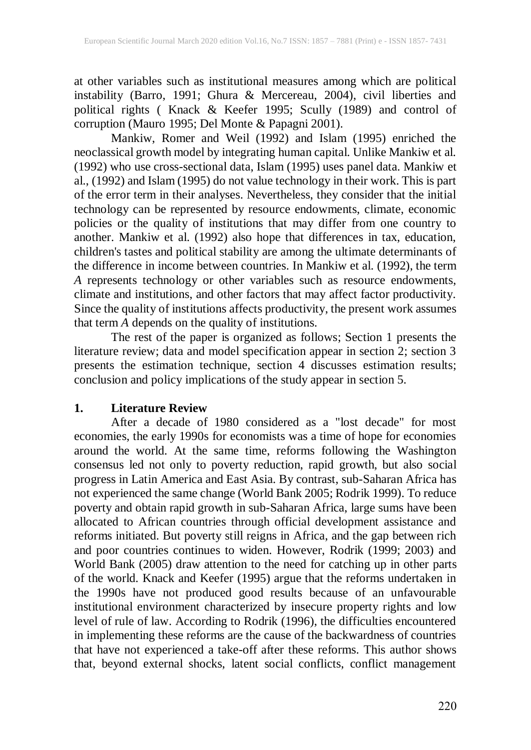at other variables such as institutional measures among which are political instability (Barro, 1991; Ghura & Mercereau, 2004), civil liberties and political rights ( Knack & Keefer 1995; Scully (1989) and control of corruption (Mauro 1995; Del Monte & Papagni 2001).

Mankiw, Romer and Weil (1992) and Islam (1995) enriched the neoclassical growth model by integrating human capital. Unlike Mankiw et al. (1992) who use cross-sectional data, Islam (1995) uses panel data. Mankiw et al., (1992) and Islam (1995) do not value technology in their work. This is part of the error term in their analyses. Nevertheless, they consider that the initial technology can be represented by resource endowments, climate, economic policies or the quality of institutions that may differ from one country to another. Mankiw et al. (1992) also hope that differences in tax, education, children's tastes and political stability are among the ultimate determinants of the difference in income between countries. In Mankiw et al. (1992), the term *A* represents technology or other variables such as resource endowments, climate and institutions, and other factors that may affect factor productivity. Since the quality of institutions affects productivity, the present work assumes that term *A* depends on the quality of institutions.

The rest of the paper is organized as follows; Section 1 presents the literature review; data and model specification appear in section 2; section 3 presents the estimation technique, section 4 discusses estimation results; conclusion and policy implications of the study appear in section 5.

## **1. Literature Review**

After a decade of 1980 considered as a "lost decade" for most economies, the early 1990s for economists was a time of hope for economies around the world. At the same time, reforms following the Washington consensus led not only to poverty reduction, rapid growth, but also social progress in Latin America and East Asia. By contrast, sub-Saharan Africa has not experienced the same change (World Bank 2005; Rodrik 1999). To reduce poverty and obtain rapid growth in sub-Saharan Africa, large sums have been allocated to African countries through official development assistance and reforms initiated. But poverty still reigns in Africa, and the gap between rich and poor countries continues to widen. However, Rodrik (1999; 2003) and World Bank (2005) draw attention to the need for catching up in other parts of the world. Knack and Keefer (1995) argue that the reforms undertaken in the 1990s have not produced good results because of an unfavourable institutional environment characterized by insecure property rights and low level of rule of law. According to Rodrik (1996), the difficulties encountered in implementing these reforms are the cause of the backwardness of countries that have not experienced a take-off after these reforms. This author shows that, beyond external shocks, latent social conflicts, conflict management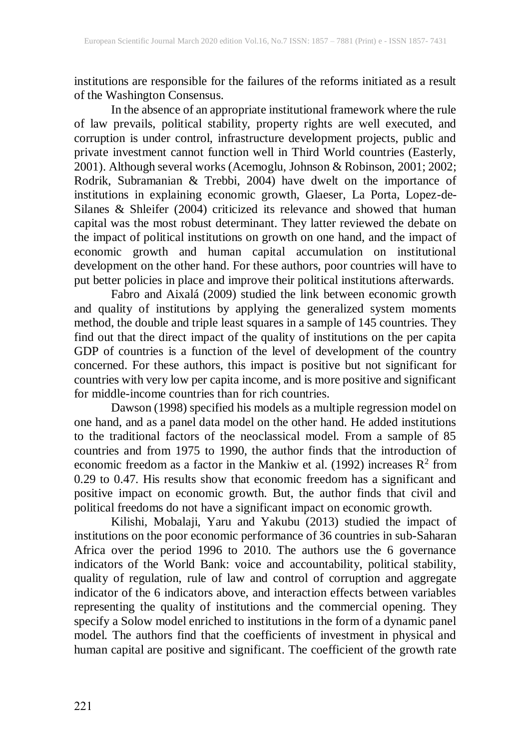institutions are responsible for the failures of the reforms initiated as a result of the Washington Consensus.

In the absence of an appropriate institutional framework where the rule of law prevails, political stability, property rights are well executed, and corruption is under control, infrastructure development projects, public and private investment cannot function well in Third World countries (Easterly, 2001). Although several works (Acemoglu, Johnson & Robinson, 2001; 2002; Rodrik, Subramanian & Trebbi, 2004) have dwelt on the importance of institutions in explaining economic growth, Glaeser, La Porta, Lopez-de-Silanes & Shleifer (2004) criticized its relevance and showed that human capital was the most robust determinant. They latter reviewed the debate on the impact of political institutions on growth on one hand, and the impact of economic growth and human capital accumulation on institutional development on the other hand. For these authors, poor countries will have to put better policies in place and improve their political institutions afterwards.

Fabro and Aixalá (2009) studied the link between economic growth and quality of institutions by applying the generalized system moments method, the double and triple least squares in a sample of 145 countries. They find out that the direct impact of the quality of institutions on the per capita GDP of countries is a function of the level of development of the country concerned. For these authors, this impact is positive but not significant for countries with very low per capita income, and is more positive and significant for middle-income countries than for rich countries.

Dawson (1998) specified his models as a multiple regression model on one hand, and as a panel data model on the other hand. He added institutions to the traditional factors of the neoclassical model. From a sample of 85 countries and from 1975 to 1990, the author finds that the introduction of economic freedom as a factor in the Mankiw et al. (1992) increases  $\mathbb{R}^2$  from 0.29 to 0.47. His results show that economic freedom has a significant and positive impact on economic growth. But, the author finds that civil and political freedoms do not have a significant impact on economic growth.

Kilishi, Mobalaji, Yaru and Yakubu (2013) studied the impact of institutions on the poor economic performance of 36 countries in sub-Saharan Africa over the period 1996 to 2010. The authors use the 6 governance indicators of the World Bank: voice and accountability, political stability, quality of regulation, rule of law and control of corruption and aggregate indicator of the 6 indicators above, and interaction effects between variables representing the quality of institutions and the commercial opening. They specify a Solow model enriched to institutions in the form of a dynamic panel model. The authors find that the coefficients of investment in physical and human capital are positive and significant. The coefficient of the growth rate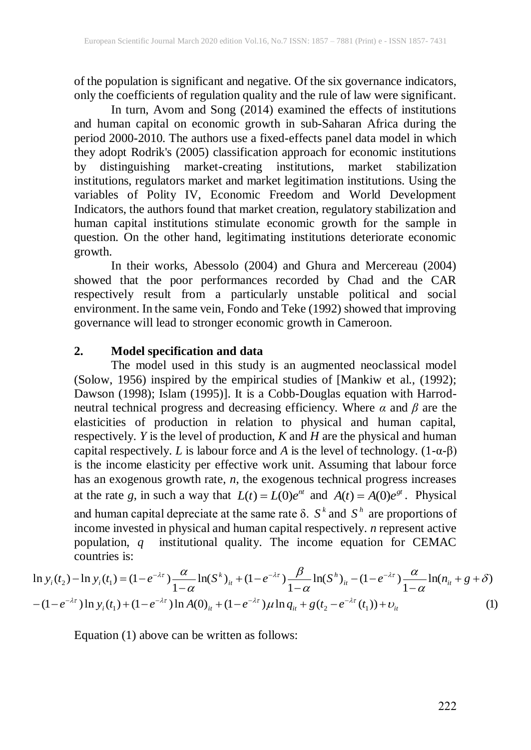of the population is significant and negative. Of the six governance indicators, only the coefficients of regulation quality and the rule of law were significant.

In turn, Avom and Song (2014) examined the effects of institutions and human capital on economic growth in sub-Saharan Africa during the period 2000-2010. The authors use a fixed-effects panel data model in which they adopt Rodrik's (2005) classification approach for economic institutions by distinguishing market-creating institutions, market stabilization institutions, regulators market and market legitimation institutions. Using the variables of Polity IV, Economic Freedom and World Development Indicators, the authors found that market creation, regulatory stabilization and human capital institutions stimulate economic growth for the sample in question. On the other hand, legitimating institutions deteriorate economic growth.

In their works, Abessolo (2004) and Ghura and Mercereau (2004) showed that the poor performances recorded by Chad and the CAR respectively result from a particularly unstable political and social environment. In the same vein, Fondo and Teke (1992) showed that improving governance will lead to stronger economic growth in Cameroon.

## **2. Model specification and data**

The model used in this study is an augmented neoclassical model (Solow, 1956) inspired by the empirical studies of [Mankiw et al., (1992); Dawson (1998); Islam (1995)]. It is a Cobb-Douglas equation with Harrodneutral technical progress and decreasing efficiency. Where *α* and *β* are the elasticities of production in relation to physical and human capital, respectively. *Y* is the level of production, *K* and *H* are the physical and human capital respectively. *L* is labour force and *A* is the level of technology. (1-α-β) is the income elasticity per effective work unit. Assuming that labour force has an exogenous growth rate, *n*, the exogenous technical progress increases at the rate g, in such a way that  $L(t) = L(0)e^{nt}$  and  $A(t) = A(0)e^{gt}$ . Physical and human capital depreciate at the same rate  $\delta$ .  $S^k$  and  $S^h$  are proportions of income invested in physical and human capital respectively. *n* represent active population, *q* institutional quality. The income equation for CEMAC countries is:

countries is:  
\n
$$
\ln y_i(t_2) - \ln y_i(t_1) = (1 - e^{-\lambda \tau}) \frac{\alpha}{1 - \alpha} \ln(S^k)_{it} + (1 - e^{-\lambda \tau}) \frac{\beta}{1 - \alpha} \ln(S^h)_{it} - (1 - e^{-\lambda \tau}) \frac{\alpha}{1 - \alpha} \ln(n_{it} + g + \delta)
$$
\n
$$
-(1 - e^{-\lambda \tau}) \ln y_i(t_1) + (1 - e^{-\lambda \tau}) \ln A(0)_{it} + (1 - e^{-\lambda \tau}) \mu \ln q_{it} + g(t_2 - e^{-\lambda \tau}(t_1)) + \nu_{it}
$$
\n(1)

Equation (1) above can be written as follows: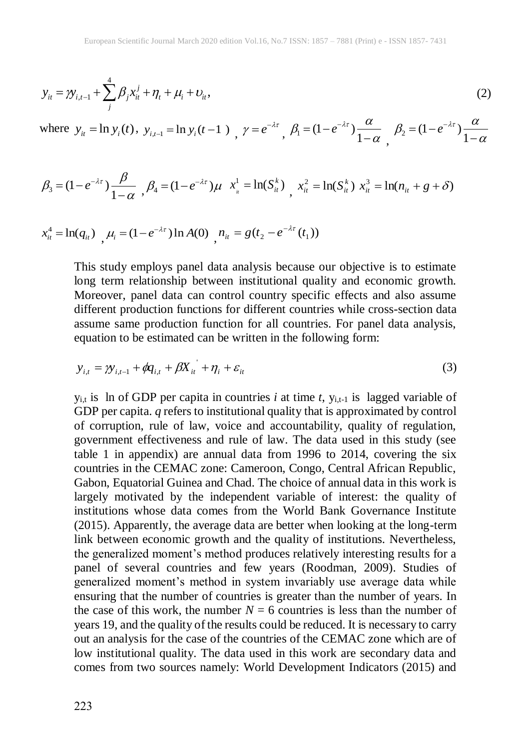$$
y_{it} = \gamma y_{i,t-1} + \sum_{j}^{4} \beta_j x_{it}^{j} + \eta_t + \mu_i + \nu_{it},
$$
\n(2)

where 
$$
y_{it} = \ln y_i(t)
$$
,  $y_{i,t-1} = \ln y_i(t-1)$ ,  $\gamma = e^{-\lambda \tau}$ ,  $\beta_1 = (1 - e^{-\lambda \tau}) \frac{\alpha}{1 - \alpha}$ ,  $\beta_2 = (1 - e^{-\lambda \tau}) \frac{\alpha}{1 - \alpha}$ 

$$
\beta_3 = (1 - e^{-\lambda \tau}) \frac{\beta}{1 - \alpha}, \beta_4 = (1 - e^{-\lambda \tau}) \mu \quad x_{\mu}^1 = \ln(S_{\mu}^k), \quad x_{\mu}^2 = \ln(S_{\mu}^k) \quad x_{\mu}^3 = \ln(n_{\mu} + g + \delta)
$$

$$
x_{it}^4 = \ln(q_{it}) \quad \mu_i = (1 - e^{-\lambda \tau}) \ln A(0) \quad n_{it} = g(t_2 - e^{-\lambda \tau}(t_1))
$$

This study employs panel data analysis because our objective is to estimate long term relationship between institutional quality and economic growth. Moreover, panel data can control country specific effects and also assume different production functions for different countries while cross-section data assume same production function for all countries. For panel data analysis, equation to be estimated can be written in the following form:

$$
y_{i,t} = \gamma y_{i,t-1} + \phi q_{i,t} + \beta X_{it} + \eta_i + \varepsilon_{it}
$$
\n<sup>(3)</sup>

 $y_{i,t}$  is ln of GDP per capita in countries *i* at time *t*,  $y_{i,t-1}$  is lagged variable of GDP per capita. *q* refers to institutional quality that is approximated by control of corruption, rule of law, voice and accountability, quality of regulation, government effectiveness and rule of law. The data used in this study (see table 1 in appendix) are annual data from 1996 to 2014, covering the six countries in the CEMAC zone: Cameroon, Congo, Central African Republic, Gabon, Equatorial Guinea and Chad. The choice of annual data in this work is largely motivated by the independent variable of interest: the quality of institutions whose data comes from the World Bank Governance Institute (2015). Apparently, the average data are better when looking at the long-term link between economic growth and the quality of institutions. Nevertheless, the generalized moment's method produces relatively interesting results for a panel of several countries and few years (Roodman, 2009). Studies of generalized moment's method in system invariably use average data while ensuring that the number of countries is greater than the number of years. In the case of this work, the number  $N = 6$  countries is less than the number of years 19, and the quality of the results could be reduced. It is necessary to carry out an analysis for the case of the countries of the CEMAC zone which are of low institutional quality. The data used in this work are secondary data and comes from two sources namely: World Development Indicators (2015) and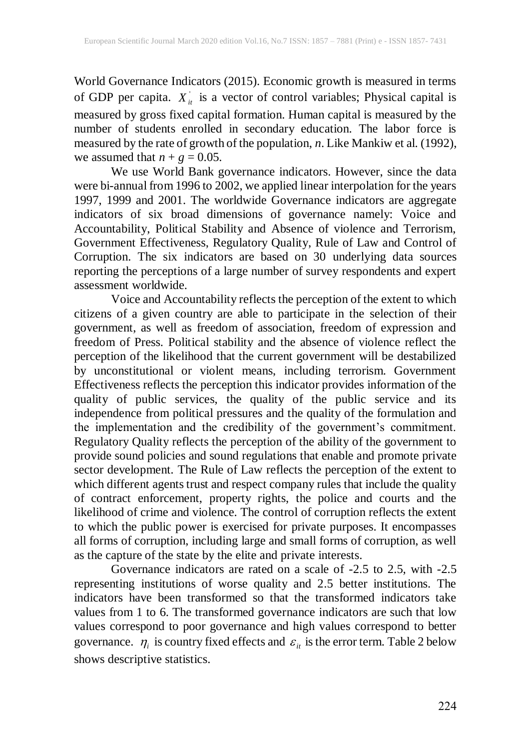World Governance Indicators (2015). Economic growth is measured in terms of GDP per capita.  $X_{it}$  is a vector of control variables; Physical capital is measured by gross fixed capital formation. Human capital is measured by the number of students enrolled in secondary education. The labor force is measured by the rate of growth of the population, *n*. Like Mankiw et al. (1992), we assumed that  $n + g = 0.05$ .

We use World Bank governance indicators. However, since the data were bi-annual from 1996 to 2002, we applied linear interpolation for the years 1997, 1999 and 2001. The worldwide Governance indicators are aggregate indicators of six broad dimensions of governance namely: Voice and Accountability, Political Stability and Absence of violence and Terrorism, Government Effectiveness, Regulatory Quality, Rule of Law and Control of Corruption. The six indicators are based on 30 underlying data sources reporting the perceptions of a large number of survey respondents and expert assessment worldwide.

Voice and Accountability reflects the perception of the extent to which citizens of a given country are able to participate in the selection of their government, as well as freedom of association, freedom of expression and freedom of Press. Political stability and the absence of violence reflect the perception of the likelihood that the current government will be destabilized by unconstitutional or violent means, including terrorism. Government Effectiveness reflects the perception this indicator provides information of the quality of public services, the quality of the public service and its independence from political pressures and the quality of the formulation and the implementation and the credibility of the government's commitment. Regulatory Quality reflects the perception of the ability of the government to provide sound policies and sound regulations that enable and promote private sector development*.* The Rule of Law reflects the perception of the extent to which different agents trust and respect company rules that include the quality of contract enforcement, property rights, the police and courts and the likelihood of crime and violence. The control of corruption reflects the extent to which the public power is exercised for private purposes. It encompasses all forms of corruption, including large and small forms of corruption, as well as the capture of the state by the elite and private interests.

Governance indicators are rated on a scale of -2.5 to 2.5, with -2.5 representing institutions of worse quality and 2.5 better institutions. The indicators have been transformed so that the transformed indicators take values from 1 to 6. The transformed governance indicators are such that low values correspond to poor governance and high values correspond to better governance.  $\eta_i$  is country fixed effects and  $\varepsilon_i$  is the error term. Table 2 below shows descriptive statistics.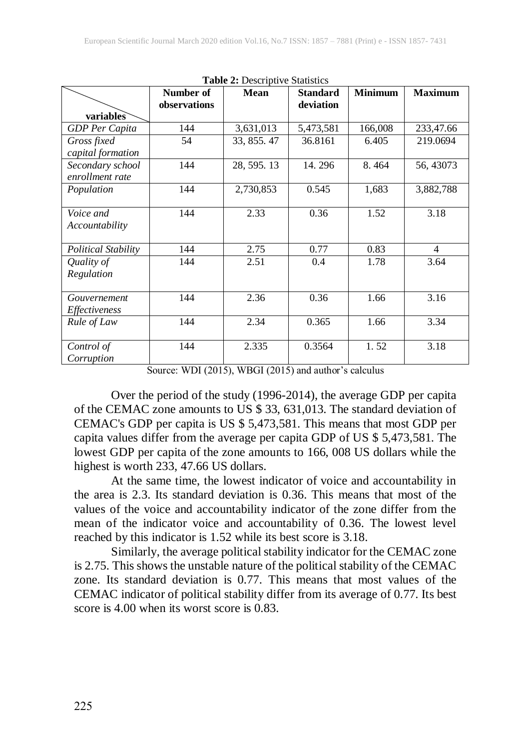| <b>radic 2.</b> Descriptive biatistics |                           |             |                              |                |                |  |  |  |
|----------------------------------------|---------------------------|-------------|------------------------------|----------------|----------------|--|--|--|
|                                        | Number of<br>observations | <b>Mean</b> | <b>Standard</b><br>deviation | <b>Minimum</b> | <b>Maximum</b> |  |  |  |
| variables                              |                           |             |                              |                |                |  |  |  |
| <b>GDP</b> Per Capita                  | 144                       | 3,631,013   | 5,473,581                    | 166,008        | 233,47.66      |  |  |  |
| Gross fixed                            | 54                        | 33, 855. 47 | 36.8161                      | 6.405          | 219.0694       |  |  |  |
| capital formation                      |                           |             |                              |                |                |  |  |  |
| Secondary school                       | 144                       | 28, 595. 13 | 14.296                       | 8.464          | 56, 43073      |  |  |  |
| enrollment rate                        |                           |             |                              |                |                |  |  |  |
| Population                             | 144                       | 2,730,853   | 0.545                        | 1,683          | 3,882,788      |  |  |  |
|                                        |                           |             |                              |                |                |  |  |  |
| Voice and                              | 144                       | 2.33        | 0.36                         | 1.52           | 3.18           |  |  |  |
| Accountability                         |                           |             |                              |                |                |  |  |  |
|                                        |                           |             |                              |                |                |  |  |  |
| Political Stability                    | 144                       | 2.75        | 0.77                         | 0.83           | $\overline{4}$ |  |  |  |
| Quality of                             | 144                       | 2.51        | 0.4                          | 1.78           | 3.64           |  |  |  |
| Regulation                             |                           |             |                              |                |                |  |  |  |
|                                        |                           |             |                              |                |                |  |  |  |
| Gouvernement                           | 144                       | 2.36        | 0.36                         | 1.66           | 3.16           |  |  |  |
| <i>Effectiveness</i>                   |                           |             |                              |                |                |  |  |  |
| Rule of Law                            | 144                       | 2.34        | 0.365                        | 1.66           | 3.34           |  |  |  |
|                                        |                           |             |                              |                |                |  |  |  |
| Control of                             | 144                       | 2.335       | 0.3564                       | 1.52           | 3.18           |  |  |  |
| Corruption                             |                           |             |                              |                |                |  |  |  |

**Table 2:** Descriptive Statistics

Source: WDI (2015), WBGI (2015) and author's calculus

Over the period of the study (1996-2014), the average GDP per capita of the CEMAC zone amounts to US \$ 33, 631,013. The standard deviation of CEMAC's GDP per capita is US \$ 5,473,581. This means that most GDP per capita values differ from the average per capita GDP of US \$ 5,473,581. The lowest GDP per capita of the zone amounts to 166, 008 US dollars while the highest is worth 233, 47.66 US dollars.

At the same time, the lowest indicator of voice and accountability in the area is 2.3. Its standard deviation is 0.36. This means that most of the values of the voice and accountability indicator of the zone differ from the mean of the indicator voice and accountability of 0.36. The lowest level reached by this indicator is 1.52 while its best score is 3.18.

Similarly, the average political stability indicator for the CEMAC zone is 2.75. This shows the unstable nature of the political stability of the CEMAC zone. Its standard deviation is 0.77. This means that most values of the CEMAC indicator of political stability differ from its average of 0.77. Its best score is 4.00 when its worst score is 0.83.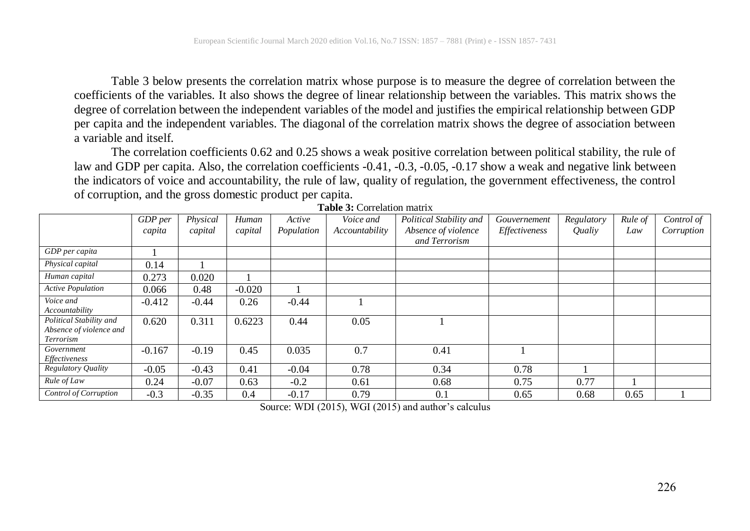Table 3 below presents the correlation matrix whose purpose is to measure the degree of correlation between the coefficients of the variables. It also shows the degree of linear relationship between the variables. This matrix shows the degree of correlation between the independent variables of the model and justifies the empirical relationship between GDP per capita and the independent variables. The diagonal of the correlation matrix shows the degree of association between a variable and itself.

The correlation coefficients 0.62 and 0.25 shows a weak positive correlation between political stability, the rule of law and GDP per capita. Also, the correlation coefficients -0.41, -0.3, -0.05, -0.17 show a weak and negative link between the indicators of voice and accountability, the rule of law, quality of regulation, the government effectiveness, the control of corruption, and the gross domestic product per capita.

|                                                                 | GDP per  | Physical | Human    | Active     | Voice and      | Political Stability and | Gouvernement  | Regulatory | Rule of | Control of |
|-----------------------------------------------------------------|----------|----------|----------|------------|----------------|-------------------------|---------------|------------|---------|------------|
|                                                                 | capita   | capital  | capital  | Population | Accountability | Absence of violence     | Effectiveness | Qualiy     | Law     | Corruption |
|                                                                 |          |          |          |            |                | and Terrorism           |               |            |         |            |
| GDP per capita                                                  |          |          |          |            |                |                         |               |            |         |            |
| Physical capital                                                | 0.14     |          |          |            |                |                         |               |            |         |            |
| Human capital                                                   | 0.273    | 0.020    |          |            |                |                         |               |            |         |            |
| <b>Active Population</b>                                        | 0.066    | 0.48     | $-0.020$ |            |                |                         |               |            |         |            |
| Voice and<br>Accountability                                     | $-0.412$ | $-0.44$  | 0.26     | $-0.44$    |                |                         |               |            |         |            |
| Political Stability and<br>Absence of violence and<br>Terrorism | 0.620    | 0.311    | 0.6223   | 0.44       | 0.05           |                         |               |            |         |            |
| Government<br>Effectiveness                                     | $-0.167$ | $-0.19$  | 0.45     | 0.035      | 0.7            | 0.41                    |               |            |         |            |
| <b>Regulatory Quality</b>                                       | $-0.05$  | $-0.43$  | 0.41     | $-0.04$    | 0.78           | 0.34                    | 0.78          |            |         |            |
| Rule of Law                                                     | 0.24     | $-0.07$  | 0.63     | $-0.2$     | 0.61           | 0.68                    | 0.75          | 0.77       |         |            |
| Control of Corruption                                           | $-0.3$   | $-0.35$  | 0.4      | $-0.17$    | 0.79           | 0.1                     | 0.65          | 0.68       | 0.65    |            |

**Table 3:** Correlation matrix

Source: WDI (2015), WGI (2015) and author's calculus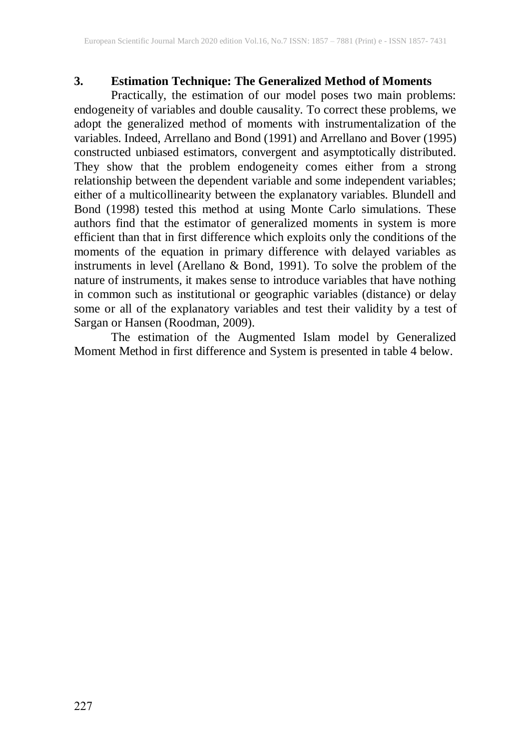## **3. Estimation Technique: The Generalized Method of Moments**

Practically, the estimation of our model poses two main problems: endogeneity of variables and double causality. To correct these problems, we adopt the generalized method of moments with instrumentalization of the variables. Indeed, Arrellano and Bond (1991) and Arrellano and Bover (1995) constructed unbiased estimators, convergent and asymptotically distributed. They show that the problem endogeneity comes either from a strong relationship between the dependent variable and some independent variables; either of a multicollinearity between the explanatory variables. Blundell and Bond (1998) tested this method at using Monte Carlo simulations. These authors find that the estimator of generalized moments in system is more efficient than that in first difference which exploits only the conditions of the moments of the equation in primary difference with delayed variables as instruments in level (Arellano & Bond, 1991). To solve the problem of the nature of instruments, it makes sense to introduce variables that have nothing in common such as institutional or geographic variables (distance) or delay some or all of the explanatory variables and test their validity by a test of Sargan or Hansen (Roodman, 2009).

The estimation of the Augmented Islam model by Generalized Moment Method in first difference and System is presented in table 4 below.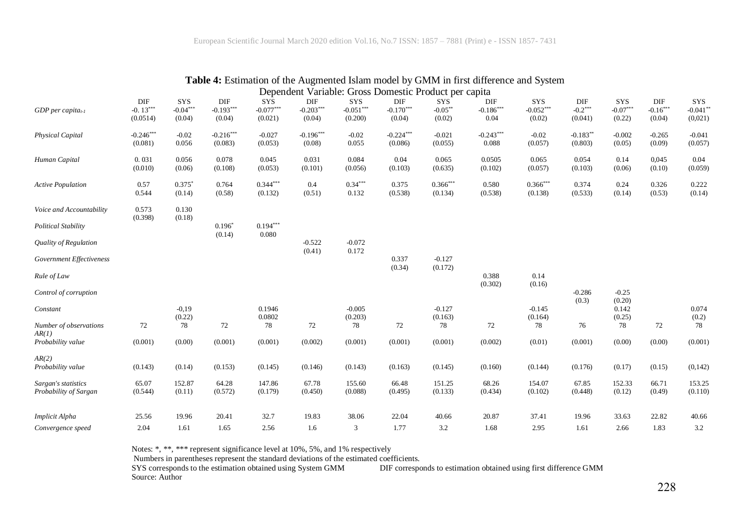|                                 |                  |                   |                    |                     |                    |                   |                                                       |               | $\alpha$ Extribution of the Fragmented Latin model $\sigma_f$ Statist in the difference and $\beta_f$ stem |               |            |              |            |             |
|---------------------------------|------------------|-------------------|--------------------|---------------------|--------------------|-------------------|-------------------------------------------------------|---------------|------------------------------------------------------------------------------------------------------------|---------------|------------|--------------|------------|-------------|
|                                 |                  |                   |                    |                     |                    |                   | Dependent Variable: Gross Domestic Product per capita |               |                                                                                                            |               |            |              |            |             |
|                                 | DIF              | SYS               | DIF                | <b>SYS</b>          | DIF                | SYS               | DIF                                                   | SYS           | DIF                                                                                                        | SYS           | DIF        | <b>SYS</b>   | DIF        | SYS         |
| $GDP$ per capita <sub>t-1</sub> | $-0.13***$       | $-0.04***$        | $-0.193***$        | $-0.077***$         | $-0.203***$        | $-0.051***$       | $-0.170***$                                           | $-0.05**$     | $-0.186***$                                                                                                | $-0.052***$   | $-0.2***$  | $-0.07***$   | $-0.16***$ | $-0.041**$  |
|                                 | (0.0514)         | (0.04)            | (0.04)             | (0.021)             | (0.04)             | (0.200)           | (0.04)                                                | (0.02)        | 0.04                                                                                                       | (0.02)        | (0.041)    | (0.22)       | (0.04)     | (0,021)     |
| Physical Capital                | $-0.246***$      | $-0.02$           | $-0.216***$        | $-0.027$            | $-0.196***$        | $-0.02$           | $-0.224***$                                           | $-0.021$      | $-0.243***$                                                                                                | $-0.02$       | $-0.183**$ | $-0.002$     | $-0.265$   | $-0.041$    |
|                                 | (0.081)          | 0.056             | (0.083)            | (0.053)             | (0.08)             | 0.055             | (0.086)                                               | (0.055)       | 0.088                                                                                                      | (0.057)       | (0.803)    | (0.05)       | (0.09)     | (0.057)     |
| Human Capital                   | 0.031            | 0.056             | 0.078              | 0.045               | 0.031              | 0.084             | 0.04                                                  | 0.065         | 0.0505                                                                                                     | 0.065         | 0.054      | 0.14         | 0,045      | 0.04        |
|                                 | (0.010)          | (0.06)            | (0.108)            | (0.053)             | (0.101)            | (0.056)           | (0.103)                                               | (0.635)       | (0.102)                                                                                                    | (0.057)       | (0.103)    | (0.06)       | (0.10)     | (0.059)     |
| <b>Active Population</b>        | 0.57             | $0.375*$          | 0.764              | $0.344***$          | 0.4                | $0.34***$         | 0.375                                                 | $0.366***$    | 0.580                                                                                                      | $0.366***$    | 0.374      | 0.24         | 0.326      | 0.222       |
|                                 | 0.544            | (0.14)            | (0.58)             | (0.132)             | (0.51)             | 0.132             | (0.538)                                               | (0.134)       | (0.538)                                                                                                    | (0.138)       | (0.533)    | (0.14)       | (0.53)     | (0.14)      |
| Voice and Accountability        | 0.573<br>(0.398) | 0.130<br>(0.18)   |                    |                     |                    |                   |                                                       |               |                                                                                                            |               |            |              |            |             |
| Political Stability             |                  |                   | $0.196*$<br>(0.14) | $0.194***$<br>0.080 |                    |                   |                                                       |               |                                                                                                            |               |            |              |            |             |
| Quality of Regulation           |                  |                   |                    |                     | $-0.522$<br>(0.41) | $-0.072$<br>0.172 |                                                       |               |                                                                                                            |               |            |              |            |             |
| Government Effectiveness        |                  |                   |                    |                     |                    |                   | 0.337                                                 | $-0.127$      |                                                                                                            |               |            |              |            |             |
| Rule of Law                     |                  |                   |                    |                     |                    |                   | (0.34)                                                | (0.172)       | 0.388                                                                                                      | 0.14          |            |              |            |             |
|                                 |                  |                   |                    |                     |                    |                   |                                                       |               | (0.302)                                                                                                    | (0.16)        | $-0.286$   | $-0.25$      |            |             |
| Control of corruption           |                  |                   |                    |                     |                    |                   |                                                       |               |                                                                                                            |               | (0.3)      | (0.20)       |            |             |
| Constant                        |                  | $-0.19$<br>(0.22) |                    | 0.1946<br>0.0802    |                    | $-0.005$          |                                                       | $-0.127$      |                                                                                                            | $-0.145$      |            | 0.142        |            | 0.074       |
| Number of observations          | 72               | 78                | 72                 | 78                  | 72                 | (0.203)<br>78     | 72                                                    | (0.163)<br>78 | 72                                                                                                         | (0.164)<br>78 | 76         | (0.25)<br>78 | 72         | (0.2)<br>78 |
| AR(1)                           |                  |                   |                    |                     |                    |                   |                                                       |               |                                                                                                            |               |            |              |            |             |
| Probability value               | (0.001)          | (0.00)            | (0.001)            | (0.001)             | (0.002)            | (0.001)           | (0.001)                                               | (0.001)       | (0.002)                                                                                                    | (0.01)        | (0.001)    | (0.00)       | (0.00)     | (0.001)     |
| AR(2)                           |                  |                   |                    |                     |                    |                   |                                                       |               |                                                                                                            |               |            |              |            |             |
| Probability value               | (0.143)          | (0.14)            | (0.153)            | (0.145)             | (0.146)            | (0.143)           | (0.163)                                               | (0.145)       | (0.160)                                                                                                    | (0.144)       | (0.176)    | (0.17)       | (0.15)     | (0,142)     |
| Sargan's statistics             | 65.07            | 152.87            | 64.28              | 147.86              | 67.78              | 155.60            | 66.48                                                 | 151.25        | 68.26                                                                                                      | 154.07        | 67.85      | 152.33       | 66.71      | 153.25      |
| Probability of Sargan           | (0.544)          | (0.11)            | (0.572)            | (0.179)             | (0.450)            | (0.088)           | (0.495)                                               | (0.133)       | (0.434)                                                                                                    | (0.102)       | (0.448)    | (0.12)       | (0.49)     | (0.110)     |
| Implicit Alpha                  | 25.56            | 19.96             | 20.41              | 32.7                | 19.83              | 38.06             | 22.04                                                 | 40.66         | 20.87                                                                                                      | 37.41         | 19.96      | 33.63        | 22.82      | 40.66       |
| Convergence speed               | 2.04             | 1.61              | 1.65               | 2.56                | 1.6                | 3                 | 1.77                                                  | 3.2           | 1.68                                                                                                       | 2.95          | 1.61       | 2.66         | 1.83       | 3.2         |

## **Table 4:** Estimation of the Augmented Islam model by GMM in first difference and System

Notes: \*, \*\*, \*\*\* represent significance level at 10%, 5%, and 1% respectively

Numbers in parentheses represent the standard deviations of the estimated coefficients.<br>SYS corresponds to the estimation obtained using System GMM DIF corresponds DIF corresponds to estimation obtained using first difference GMM Source: Author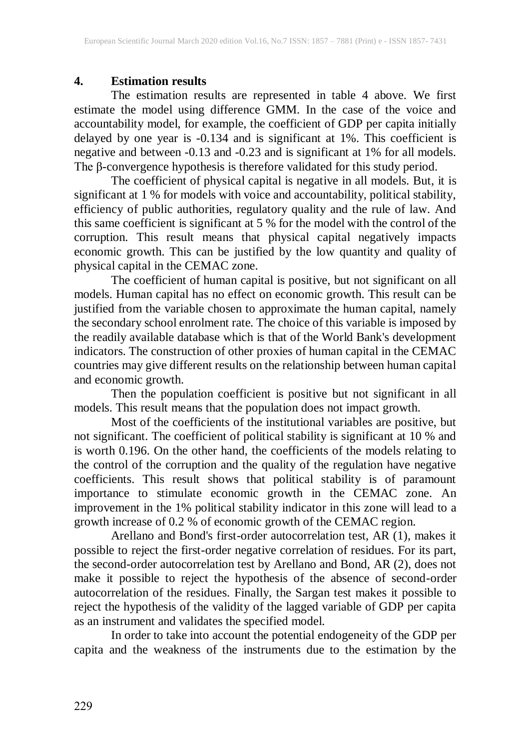## **4. Estimation results**

The estimation results are represented in table 4 above. We first estimate the model using difference GMM. In the case of the voice and accountability model, for example, the coefficient of GDP per capita initially delayed by one year is -0.134 and is significant at 1%. This coefficient is negative and between -0.13 and -0.23 and is significant at 1% for all models. The β-convergence hypothesis is therefore validated for this study period.

The coefficient of physical capital is negative in all models. But, it is significant at 1 % for models with voice and accountability, political stability, efficiency of public authorities, regulatory quality and the rule of law. And this same coefficient is significant at 5 % for the model with the control of the corruption. This result means that physical capital negatively impacts economic growth. This can be justified by the low quantity and quality of physical capital in the CEMAC zone.

The coefficient of human capital is positive, but not significant on all models. Human capital has no effect on economic growth. This result can be justified from the variable chosen to approximate the human capital, namely the secondary school enrolment rate. The choice of this variable is imposed by the readily available database which is that of the World Bank's development indicators. The construction of other proxies of human capital in the CEMAC countries may give different results on the relationship between human capital and economic growth.

Then the population coefficient is positive but not significant in all models. This result means that the population does not impact growth.

Most of the coefficients of the institutional variables are positive, but not significant. The coefficient of political stability is significant at 10 % and is worth 0.196. On the other hand, the coefficients of the models relating to the control of the corruption and the quality of the regulation have negative coefficients. This result shows that political stability is of paramount importance to stimulate economic growth in the CEMAC zone. An improvement in the 1% political stability indicator in this zone will lead to a growth increase of 0.2 % of economic growth of the CEMAC region.

Arellano and Bond's first-order autocorrelation test, AR (1), makes it possible to reject the first-order negative correlation of residues. For its part, the second-order autocorrelation test by Arellano and Bond, AR (2), does not make it possible to reject the hypothesis of the absence of second-order autocorrelation of the residues. Finally, the Sargan test makes it possible to reject the hypothesis of the validity of the lagged variable of GDP per capita as an instrument and validates the specified model.

In order to take into account the potential endogeneity of the GDP per capita and the weakness of the instruments due to the estimation by the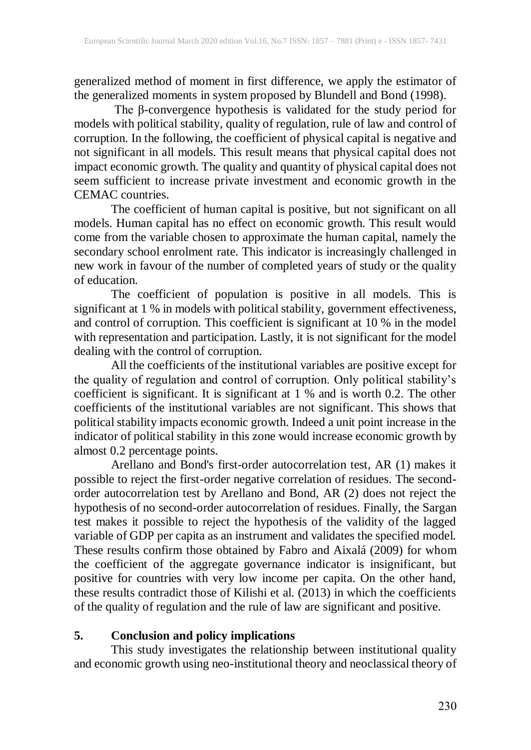generalized method of moment in first difference, we apply the estimator of the generalized moments in system proposed by Blundell and Bond (1998).

The β-convergence hypothesis is validated for the study period for models with political stability, quality of regulation, rule of law and control of corruption. In the following, the coefficient of physical capital is negative and not significant in all models. This result means that physical capital does not impact economic growth. The quality and quantity of physical capital does not seem sufficient to increase private investment and economic growth in the CEMAC countries.

The coefficient of human capital is positive, but not significant on all models. Human capital has no effect on economic growth. This result would come from the variable chosen to approximate the human capital, namely the secondary school enrolment rate. This indicator is increasingly challenged in new work in favour of the number of completed years of study or the quality of education.

The coefficient of population is positive in all models. This is significant at 1 % in models with political stability, government effectiveness, and control of corruption. This coefficient is significant at 10 % in the model with representation and participation. Lastly, it is not significant for the model dealing with the control of corruption.

All the coefficients of the institutional variables are positive except for the quality of regulation and control of corruption. Only political stability's coefficient is significant. It is significant at 1 % and is worth 0.2. The other coefficients of the institutional variables are not significant. This shows that political stability impacts economic growth. Indeed a unit point increase in the indicator of political stability in this zone would increase economic growth by almost 0.2 percentage points.

Arellano and Bond's first-order autocorrelation test, AR (1) makes it possible to reject the first-order negative correlation of residues. The secondorder autocorrelation test by Arellano and Bond, AR (2) does not reject the hypothesis of no second-order autocorrelation of residues. Finally, the Sargan test makes it possible to reject the hypothesis of the validity of the lagged variable of GDP per capita as an instrument and validates the specified model. These results confirm those obtained by Fabro and Aixalá (2009) for whom the coefficient of the aggregate governance indicator is insignificant, but positive for countries with very low income per capita. On the other hand, these results contradict those of Kilishi et al. (2013) in which the coefficients of the quality of regulation and the rule of law are significant and positive.

#### **5. Conclusion and policy implications**

This study investigates the relationship between institutional quality and economic growth using neo-institutional theory and neoclassical theory of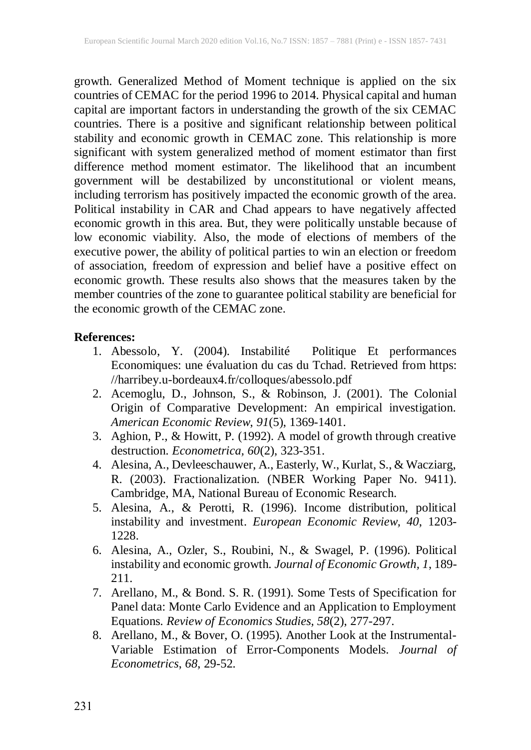growth. Generalized Method of Moment technique is applied on the six countries of CEMAC for the period 1996 to 2014*.* Physical capital and human capital are important factors in understanding the growth of the six CEMAC countries. There is a positive and significant relationship between political stability and economic growth in CEMAC zone. This relationship is more significant with system generalized method of moment estimator than first difference method moment estimator. The likelihood that an incumbent government will be destabilized by unconstitutional or violent means, including terrorism has positively impacted the economic growth of the area. Political instability in CAR and Chad appears to have negatively affected economic growth in this area. But, they were politically unstable because of low economic viability. Also, the mode of elections of members of the executive power, the ability of political parties to win an election or freedom of association, freedom of expression and belief have a positive effect on economic growth. These results also shows that the measures taken by the member countries of the zone to guarantee political stability are beneficial for the economic growth of the CEMAC zone.

#### **References:**

- 1. Abessolo, Y. (2004). Instabilité Politique Et performances Economiques: une évaluation du cas du Tchad. Retrieved from https: //harribey.u-bordeaux4.fr/colloques/abessolo.pdf
- 2. Acemoglu, D., Johnson, S., & Robinson, J. (2001). The Colonial Origin of Comparative Development: An empirical investigation. *American Economic Review*, *91*(5), 1369-1401.
- 3. Aghion, P., & Howitt, P. (1992). A model of growth through creative destruction. *Econometrica, 60*(2), 323-351.
- 4. Alesina, A., Devleeschauwer, A., Easterly, W., Kurlat, S., & Wacziarg, R. (2003). Fractionalization. (NBER Working Paper No. 9411). Cambridge, MA, National Bureau of Economic Research.
- 5. Alesina, A., & Perotti, R. (1996). Income distribution, political instability and investment. *European Economic Review, 40*, 1203- 1228.
- 6. Alesina, A., Ozler, S., Roubini, N., & Swagel, P. (1996). Political instability and economic growth. *Journal of Economic Growth, 1*, 189- 211.
- 7. Arellano, M., & Bond. S. R. (1991). Some Tests of Specification for Panel data: Monte Carlo Evidence and an Application to Employment Equations. *Review of Economics Studies, 58*(2), 277-297.
- 8. Arellano, M., & Bover, O. (1995). Another Look at the Instrumental-Variable Estimation of Error-Components Models. *Journal of Econometrics*, *68*, 29-52.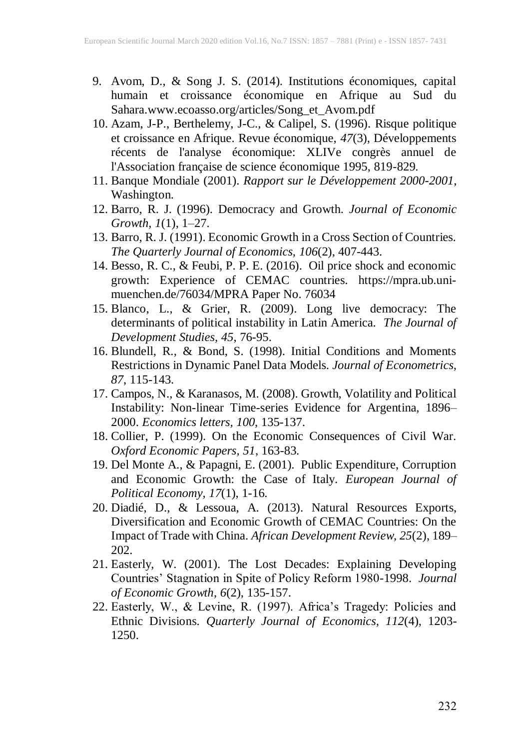- 9. Avom, D., & Song J. S. (2014). Institutions économiques, capital humain et croissance économique en Afrique au Sud du Sahara[.www.ecoasso.org/articles/Song\\_et\\_Avom.pdf](http://www.ecoasso.org/articles/Song_et_Avom.pdf)
- 10. Azam, J-P., Berthelemy, J-C., & Calipel, S. (1996). Risque politique et croissance en Afrique. Revue économique, *47*(3), Développements récents de l'analyse économique: XLIVe congrès annuel de l'Association française de science économique 1995, 819-829.
- 11. Banque Mondiale (2001). *Rapport sur le Développement 2000-2001*, Washington.
- 12. Barro, R. J. (1996). Democracy and Growth. *Journal of Economic Growth, 1*(1), 1–27.
- 13. Barro, R. J. (1991). Economic Growth in a Cross Section of Countries. *The Quarterly Journal of Economics, 106*(2), 407-443.
- 14. Besso, R. C., & Feubi, P. P. E. (2016). Oil price shock and economic growth: Experience of CEMAC countries. [https://mpra.ub.uni](https://mpra.ub.uni-muenchen.de/76034/MPRA%20Paper%20No.%2076034)[muenchen.de/76034/MPRA](https://mpra.ub.uni-muenchen.de/76034/MPRA%20Paper%20No.%2076034) Paper No. 76034
- 15. Blanco, L., & Grier, R. (2009). Long live democracy: The determinants of political instability in Latin America. *The Journal of Development Studies, 45*, 76-95.
- 16. Blundell, R., & Bond, S. (1998). Initial Conditions and Moments Restrictions in Dynamic Panel Data Models. *Journal of Econometrics, 87*, 115-143.
- 17. Campos, N., & Karanasos, M. (2008). Growth, Volatility and Political Instability: Non-linear Time-series Evidence for Argentina, 1896– 2000. *Economics letters, 100*, 135-137.
- 18. Collier, P. (1999). On the Economic Consequences of Civil War. *Oxford Economic Papers, 51*, 163-83.
- 19. Del Monte A., & Papagni, E. (2001). Public Expenditure, Corruption and Economic Growth: the Case of Italy. *European Journal of Political Economy, 17*(1), 1-16.
- 20. Diadié, D., & Lessoua, A. (2013). Natural Resources Exports, Diversification and Economic Growth of CEMAC Countries: On the Impact of Trade with China. *African Development Review, 25*(2), 189– 202.
- 21. Easterly, W. (2001). The Lost [Decades: Explaining Developing](http://www.williameasterly.org/s/lostdecades.pdf) Countries' Stagnation in Spite of Policy Reform [1980-1998.](http://www.williameasterly.org/s/lostdecades.pdf) *Journal of Economic Growth, 6*(2), 135-157.
- 22. Easterly, W., & Levine, R. (1997). Africa's Tragedy: Policies and Ethnic Divisions. *Quarterly Journal of Economics, 112*(4), 1203- 1250.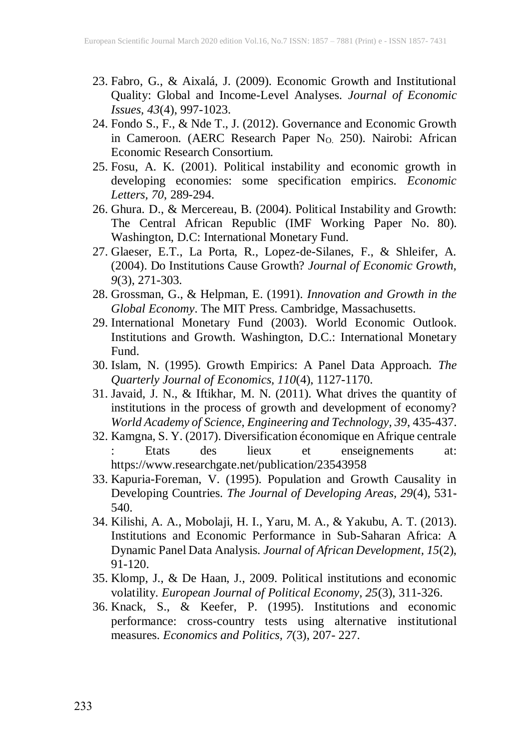- 23. Fabro, G., & Aixalá, J. (2009). Economic Growth and Institutional Quality: Global and Income-Level Analyses. *Journal of Economic Issues, 43*(4), 997-1023.
- 24. Fondo S., F., & Nde T., J. (2012). Governance and Economic Growth in Cameroon. (AERC Research Paper N<sub>O.</sub> 250). Nairobi: African Economic Research Consortium.
- 25. Fosu, A. K. (2001). Political instability and economic growth in developing economies: some specification empirics. *Economic Letters, 70*, 289-294.
- 26. Ghura. D., & Mercereau, B. (2004). Political Instability and Growth: The Central African Republic (IMF Working Paper No. 80). Washington, D.C: International Monetary Fund.
- 27. Glaeser, E.T., La Porta, R., Lopez-de-Silanes, F., & Shleifer, A. (2004). Do Institutions Cause Growth? *Journal of Economic Growth, 9*(3), 271-303.
- 28. Grossman, G., & Helpman, E. (1991). *Innovation and Growth in the Global Economy*. The MIT Press. Cambridge, Massachusetts.
- 29. International Monetary Fund (2003). World Economic Outlook. Institutions and Growth. Washington, D.C.: International Monetary Fund.
- 30. Islam, N. (1995). Growth Empirics: A Panel Data Approach. *The Quarterly Journal of Economics, 110*(4), 1127-1170.
- 31. Javaid, J. N., & Iftikhar, M. N. (2011). What drives the quantity of institutions in the process of growth and development of economy? *World Academy of Science, Engineering and Technology, 39*, 435-437.
- 32. Kamgna, S. Y. (2017). Diversification économique en Afrique centrale<br>: Etats des lieux et enseignements at: : Etats des lieux et enseignements at: <https://www.researchgate.net/publication/23543958>
- 33. Kapuria-Foreman, V. (1995). Population and Growth Causality in Developing Countries. *The Journal of Developing Areas, 29*(4), 531- 540.
- 34. Kilishi, A. A., Mobolaji, H. I., Yaru, M. A., & Yakubu, A. T. (2013). Institutions and Economic Performance in Sub-Saharan Africa: A Dynamic Panel Data Analysis. *[Journal of African](https://econpapers.repec.org/article/afejournl/) Development, 15*(2), 91-120.
- 35. Klomp, J., & De Haan, J., 2009. Political institutions and economic volatility. *European Journal of Political Economy, 25*(3), 311-326.
- 36. Knack, S., & Keefer, P. (1995). Institutions and economic performance: cross-country tests using alternative institutional measures. *Economics and Politics, 7*(3), 207- 227.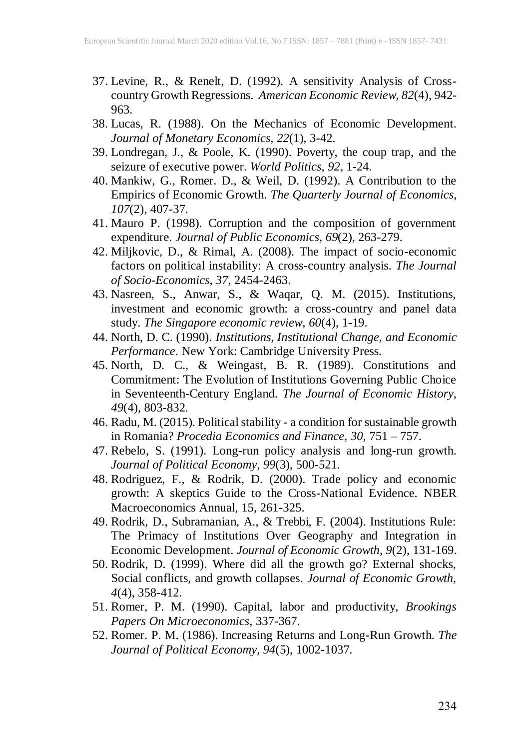- 37. Levine, R., & Renelt, D. (1992). A sensitivity Analysis of Crosscountry Growth Regressions. *American Economic Review, 82*(4), 942- 963.
- 38. Lucas, R. (1988). On the Mechanics of Economic Development. *Journal of Monetary Economics, 22*(1), 3-42.
- 39. Londregan, J., & Poole, K. (1990). Poverty, the coup trap, and the seizure of executive power. *World Politics, 92*, 1-24.
- 40. Mankiw, G., Romer. D., & Weil, D. (1992). A Contribution to the Empirics of Economic Growth. *The Quarterly Journal of Economics, 107*(2), 407-37.
- 41. Mauro P. (1998). Corruption and the composition of government expenditure. *Journal of Public Economics, 69*(2), 263-279.
- 42. Miljkovic, D., & Rimal, A. (2008). The impact of socio-economic factors on political instability: A cross-country analysis. *The Journal of Socio-Economics, 37*, 2454-2463.
- 43. Nasreen, S., Anwar, S., & Waqar, Q. M. (2015). Institutions, investment and economic growth: a cross-country and panel data study. *The Singapore economic review*, *60*(4), 1-19.
- 44. North, D. C. (1990). *Institutions, Institutional Change, and Economic Performance*. New York: Cambridge University Press.
- 45. North, D. C., & Weingast, B. R. (1989). Constitutions and Commitment: The Evolution of Institutions Governing Public Choice in Seventeenth-Century England. *The Journal of Economic History, 49*(4), 803-832.
- 46. Radu, M. (2015). Political stability a condition for sustainable growth in Romania? *Procedia Economics and Finance, 30*, 751 – 757.
- 47. Rebelo, S. (1991). Long-run policy analysis and long-run growth. *Journal of Political Economy, 99*(3), 500-521.
- 48. Rodriguez, F., & Rodrik, D. (2000). Trade policy and economic growth: A skeptics Guide to the Cross-National Evidence. NBER Macroeconomics Annual, 15, 261-325.
- 49. Rodrik, D., Subramanian, A., & Trebbi, F. (2004). Institutions Rule: The Primacy of Institutions Over Geography and Integration in Economic Development. *Journal of Economic Growth, 9*(2), 131-169.
- 50. Rodrik, D. (1999). Where did all the growth go? External shocks, Social conflicts, and growth collapses. *Journal of Economic Growth, 4*(4), 358-412.
- 51. Romer, P. M. (1990). Capital, labor and productivity, *Brookings Papers On Microeconomics*, 337-367.
- 52. Romer. P. M. (1986). Increasing Returns and Long-Run Growth. *The Journal of Political Economy, 94*(5), 1002-1037.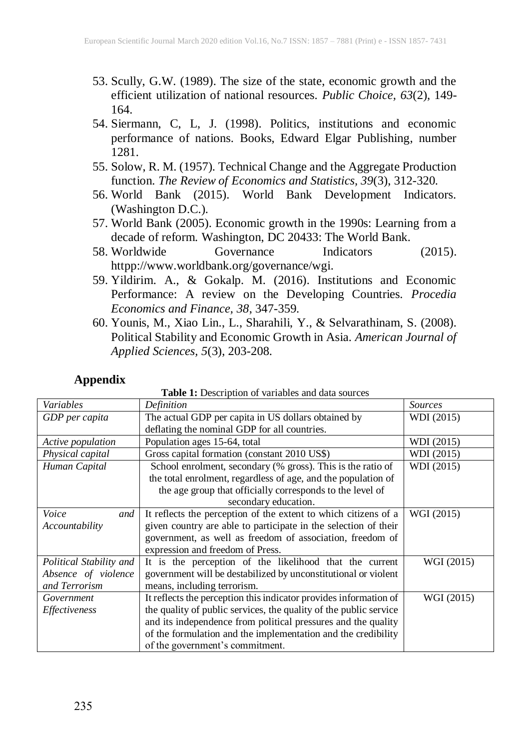- 53. Scully, G.W. (1989). The size of the state, economic growth and the efficient utilization of national resources. *Public Choice, 63*(2), 149- 164.
- 54. Siermann, C, L, J. (1998). Politics, institutions and economic performance of nations. Books, Edward Elgar Publishing, number 1281.
- 55. Solow, R. M. (1957). Technical Change and the Aggregate Production function. *The Review of Economics and Statistics, 39*(3), 312-320.
- 56. World Bank (2015). World Bank Development Indicators. (Washington D.C.).
- 57. World Bank (2005). Economic growth in the 1990s: Learning from a decade of reform. Washington, DC 20433: The World Bank.
- 58. Worldwide Governance Indicators (2015). httpp://www.worldbank.org/governance/wgi.
- 59. Yildirim. A., & Gokalp. M. (2016). Institutions and Economic Performance: A review on the Developing Countries. *Procedia Economics and Finance, 38*, 347-359.
- 60. Younis, M., Xiao Lin., L., Sharahili, Y., & Selvarathinam, S. (2008). Political Stability and Economic Growth in Asia. *American Journal of Applied Sciences, 5*(3), 203-208.

#### **Appendix**

| Variables               | Definition                                                        | <b>Sources</b> |
|-------------------------|-------------------------------------------------------------------|----------------|
| GDP per capita          | The actual GDP per capita in US dollars obtained by               | WDI (2015)     |
|                         | deflating the nominal GDP for all countries.                      |                |
| Active population       | Population ages 15-64, total                                      | WDI (2015)     |
| Physical capital        | Gross capital formation (constant 2010 US\$)                      | WDI (2015)     |
| Human Capital           | School enrolment, secondary (% gross). This is the ratio of       | WDI (2015)     |
|                         | the total enrolment, regardless of age, and the population of     |                |
|                         | the age group that officially corresponds to the level of         |                |
|                         | secondary education.                                              |                |
| Voice<br>and            | It reflects the perception of the extent to which citizens of a   | WGI (2015)     |
| Accountability          | given country are able to participate in the selection of their   |                |
|                         | government, as well as freedom of association, freedom of         |                |
|                         | expression and freedom of Press.                                  |                |
| Political Stability and | It is the perception of the likelihood that the current           | WGI (2015)     |
| Absence of violence     | government will be destabilized by unconstitutional or violent    |                |
| and Terrorism           | means, including terrorism.                                       |                |
| Government              | It reflects the perception this indicator provides information of | WGI (2015)     |
| Effectiveness           | the quality of public services, the quality of the public service |                |
|                         | and its independence from political pressures and the quality     |                |
|                         | of the formulation and the implementation and the credibility     |                |
|                         | of the government's commitment.                                   |                |

**Table 1:** Description of variables and data sources